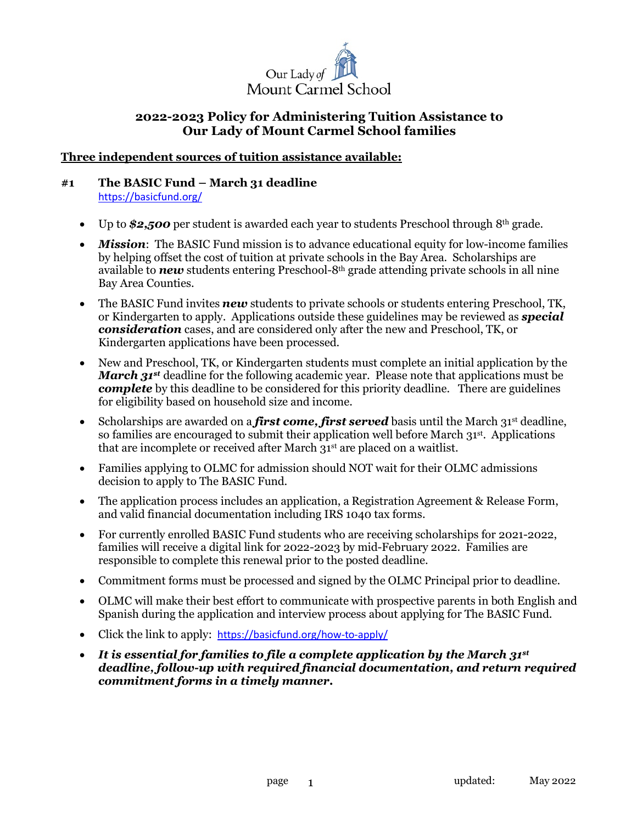

#### **Three independent sources of tuition assistance available:**

#### **#1 The BASIC Fund – March 31 deadline** https://basicfund.org/

- Up to **\$2,500** per student is awarded each year to students Preschool through 8<sup>th</sup> grade.
- *Mission*: The BASIC Fund mission is to advance educational equity for low-income families by helping offset the cost of tuition at private schools in the Bay Area. Scholarships are available to *new* students entering Preschool-8th grade attending private schools in all nine Bay Area Counties.
- The BASIC Fund invites *new* students to private schools or students entering Preschool, TK, or Kindergarten to apply. Applications outside these guidelines may be reviewed as *special consideration* cases, and are considered only after the new and Preschool, TK, or Kindergarten applications have been processed.
- New and Preschool, TK, or Kindergarten students must complete an initial application by the *March 31st* deadline for the following academic year. Please note that applications must be *complete* by this deadline to be considered for this priority deadline. There are guidelines for eligibility based on household size and income.
- Scholarships are awarded on a *first come, first served* basis until the March 31<sup>st</sup> deadline, so families are encouraged to submit their application well before March 31st. Applications that are incomplete or received after March 31st are placed on a waitlist.
- Families applying to OLMC for admission should NOT wait for their OLMC admissions decision to apply to The BASIC Fund.
- The application process includes an application, a Registration Agreement & Release Form, and valid financial documentation including IRS 1040 tax forms.
- For currently enrolled BASIC Fund students who are receiving scholarships for 2021-2022, families will receive a digital link for 2022-2023 by mid-February 2022. Families are responsible to complete this renewal prior to the posted deadline.
- Commitment forms must be processed and signed by the OLMC Principal prior to deadline.
- OLMC will make their best effort to communicate with prospective parents in both English and Spanish during the application and interview process about applying for The BASIC Fund.
- Click the link to apply: https://basicfund.org/how-to-apply/
- *It is essential for families to file a complete application by the March 31st deadline, follow-up with required financial documentation, and return required commitment forms in a timely manner.*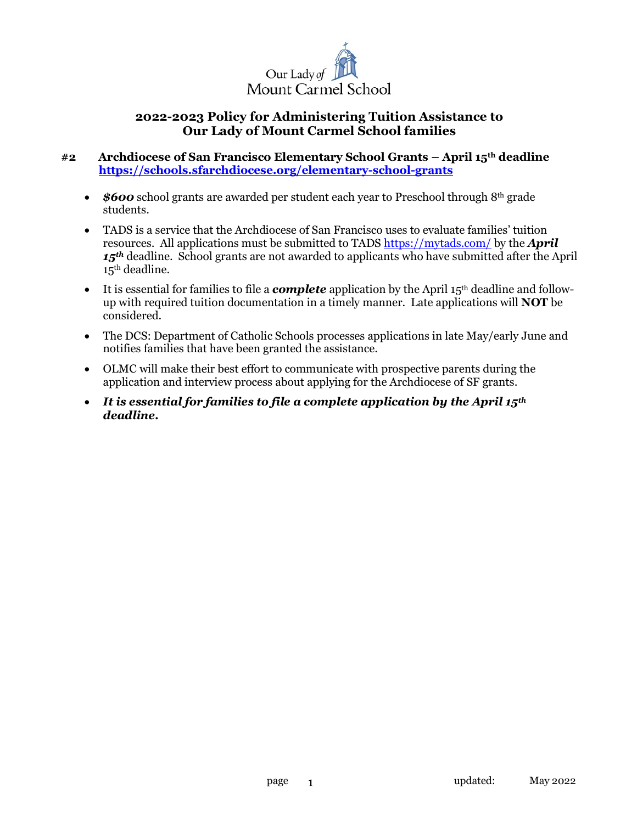

#### **#2 Archdiocese of San Francisco Elementary School Grants – April 15th deadline https://schools.sfarchdiocese.org/elementary-school-grants**

- *\$600* school grants are awarded per student each year to Preschool through 8<sup>th</sup> grade students.
- TADS is a service that the Archdiocese of San Francisco uses to evaluate families' tuition resources. All applications must be submitted to TADS https://mytads.com/ by the *April*  15<sup>th</sup> deadline. School grants are not awarded to applicants who have submitted after the April 15<sup>th</sup> deadline.
- It is essential for families to file a *complete* application by the April 15<sup>th</sup> deadline and followup with required tuition documentation in a timely manner. Late applications will **NOT** be considered.
- The DCS: Department of Catholic Schools processes applications in late May/early June and notifies families that have been granted the assistance.
- OLMC will make their best effort to communicate with prospective parents during the application and interview process about applying for the Archdiocese of SF grants.
- *It is essential for families to file a complete application by the April 15th deadline.*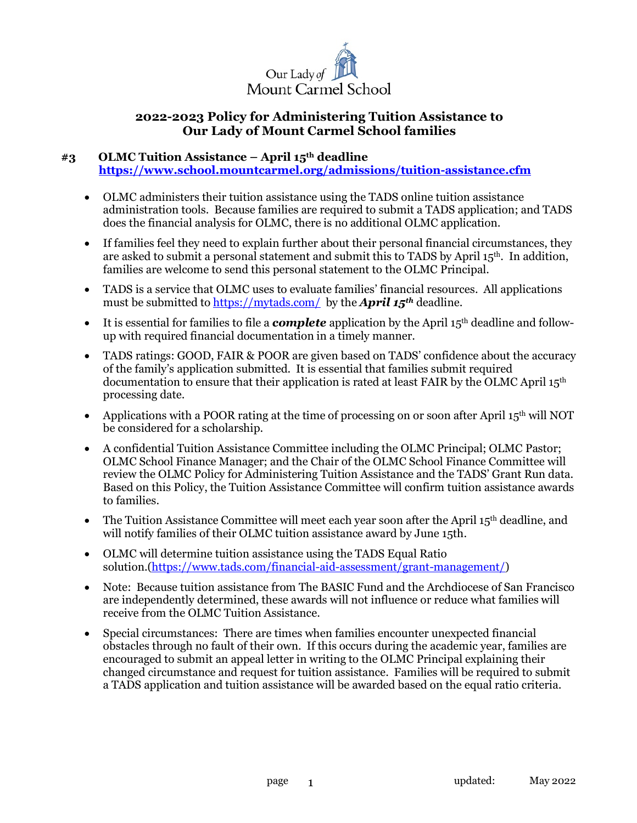

# **#3 OLMC Tuition Assistance – April 15th deadline**

 **https://www.school.mountcarmel.org/admissions/tuition-assistance.cfm**

- OLMC administers their tuition assistance using the TADS online tuition assistance administration tools. Because families are required to submit a TADS application; and TADS does the financial analysis for OLMC, there is no additional OLMC application.
- If families feel they need to explain further about their personal financial circumstances, they are asked to submit a personal statement and submit this to TADS by April  $15<sup>th</sup>$ . In addition, families are welcome to send this personal statement to the OLMC Principal.
- TADS is a service that OLMC uses to evaluate families' financial resources. All applications must be submitted to https://mytads.com/ by the *April 15th* deadline.
- It is essential for families to file a *complete* application by the April 15<sup>th</sup> deadline and followup with required financial documentation in a timely manner.
- TADS ratings: GOOD, FAIR & POOR are given based on TADS' confidence about the accuracy of the family's application submitted. It is essential that families submit required documentation to ensure that their application is rated at least FAIR by the OLMC April 15th processing date.
- Applications with a POOR rating at the time of processing on or soon after April 15<sup>th</sup> will NOT be considered for a scholarship.
- A confidential Tuition Assistance Committee including the OLMC Principal; OLMC Pastor; OLMC School Finance Manager; and the Chair of the OLMC School Finance Committee will review the OLMC Policy for Administering Tuition Assistance and the TADS' Grant Run data. Based on this Policy, the Tuition Assistance Committee will confirm tuition assistance awards to families.
- The Tuition Assistance Committee will meet each year soon after the April 15<sup>th</sup> deadline, and will notify families of their OLMC tuition assistance award by June 15th.
- OLMC will determine tuition assistance using the TADS Equal Ratio solution.(https://www.tads.com/financial-aid-assessment/grant-management/)
- Note: Because tuition assistance from The BASIC Fund and the Archdiocese of San Francisco are independently determined, these awards will not influence or reduce what families will receive from the OLMC Tuition Assistance.
- Special circumstances: There are times when families encounter unexpected financial obstacles through no fault of their own. If this occurs during the academic year, families are encouraged to submit an appeal letter in writing to the OLMC Principal explaining their changed circumstance and request for tuition assistance. Families will be required to submit a TADS application and tuition assistance will be awarded based on the equal ratio criteria.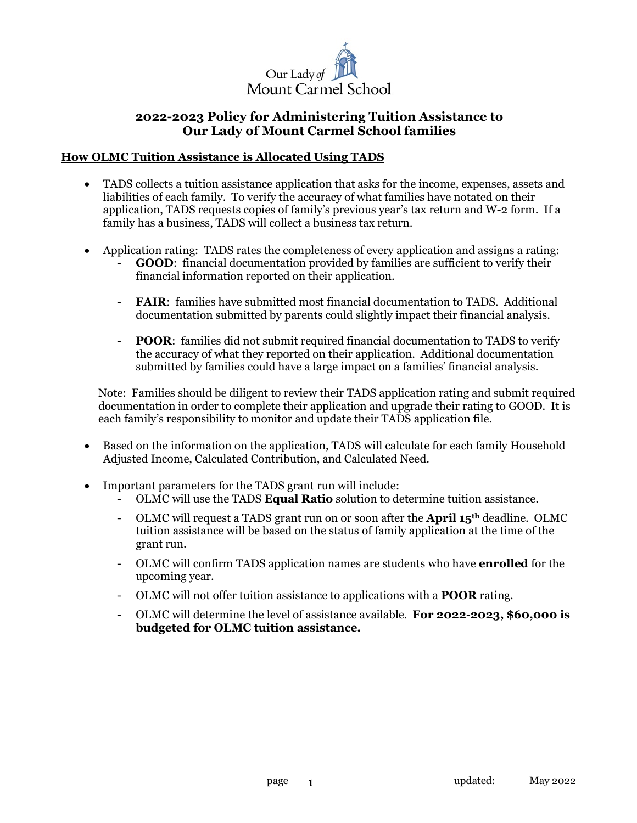

#### **How OLMC Tuition Assistance is Allocated Using TADS**

- TADS collects a tuition assistance application that asks for the income, expenses, assets and liabilities of each family. To verify the accuracy of what families have notated on their application, TADS requests copies of family's previous year's tax return and W-2 form. If a family has a business, TADS will collect a business tax return.
- Application rating: TADS rates the completeness of every application and assigns a rating:
	- **GOOD:** financial documentation provided by families are sufficient to verify their financial information reported on their application.
	- **FAIR**: families have submitted most financial documentation to TADS. Additional documentation submitted by parents could slightly impact their financial analysis.
	- **POOR**: families did not submit required financial documentation to TADS to verify the accuracy of what they reported on their application. Additional documentation submitted by families could have a large impact on a families' financial analysis.

Note: Families should be diligent to review their TADS application rating and submit required documentation in order to complete their application and upgrade their rating to GOOD. It is each family's responsibility to monitor and update their TADS application file.

- Based on the information on the application, TADS will calculate for each family Household Adjusted Income, Calculated Contribution, and Calculated Need.
- Important parameters for the TADS grant run will include:
	- OLMC will use the TADS **Equal Ratio** solution to determine tuition assistance.
	- OLMC will request a TADS grant run on or soon after the **April 15th** deadline. OLMC tuition assistance will be based on the status of family application at the time of the grant run.
	- OLMC will confirm TADS application names are students who have **enrolled** for the upcoming year.
	- OLMC will not offer tuition assistance to applications with a **POOR** rating.
	- OLMC will determine the level of assistance available. **For 2022-2023, \$60,000 is budgeted for OLMC tuition assistance.**